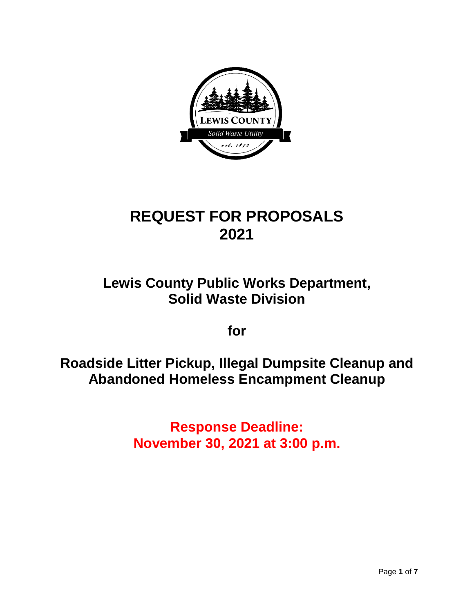

# **REQUEST FOR PROPOSALS 2021**

## **Lewis County Public Works Department, Solid Waste Division**

**for**

**Roadside Litter Pickup, Illegal Dumpsite Cleanup and Abandoned Homeless Encampment Cleanup**

> **Response Deadline: November 30, 2021 at 3:00 p.m.**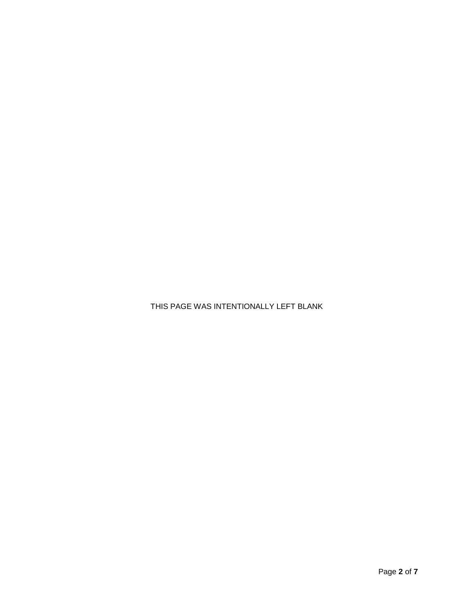THIS PAGE WAS INTENTIONALLY LEFT BLANK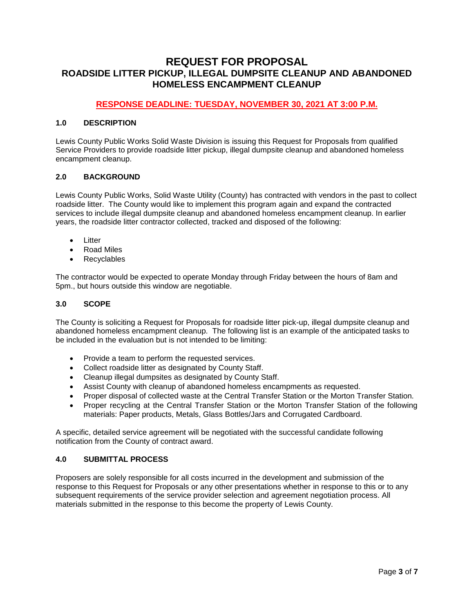### **REQUEST FOR PROPOSAL ROADSIDE LITTER PICKUP, ILLEGAL DUMPSITE CLEANUP AND ABANDONED HOMELESS ENCAMPMENT CLEANUP**

#### **RESPONSE DEADLINE: TUESDAY, NOVEMBER 30, 2021 AT 3:00 P.M.**

#### **1.0 DESCRIPTION**

Lewis County Public Works Solid Waste Division is issuing this Request for Proposals from qualified Service Providers to provide roadside litter pickup, illegal dumpsite cleanup and abandoned homeless encampment cleanup.

#### **2.0 BACKGROUND**

Lewis County Public Works, Solid Waste Utility (County) has contracted with vendors in the past to collect roadside litter. The County would like to implement this program again and expand the contracted services to include illegal dumpsite cleanup and abandoned homeless encampment cleanup. In earlier years, the roadside litter contractor collected, tracked and disposed of the following:

- Litter
- Road Miles
- Recyclables

The contractor would be expected to operate Monday through Friday between the hours of 8am and 5pm., but hours outside this window are negotiable.

#### **3.0 SCOPE**

The County is soliciting a Request for Proposals for roadside litter pick-up, illegal dumpsite cleanup and abandoned homeless encampment cleanup. The following list is an example of the anticipated tasks to be included in the evaluation but is not intended to be limiting:

- Provide a team to perform the requested services.
- Collect roadside litter as designated by County Staff.
- Cleanup illegal dumpsites as designated by County Staff.
- Assist County with cleanup of abandoned homeless encampments as requested.
- Proper disposal of collected waste at the Central Transfer Station or the Morton Transfer Station.
- Proper recycling at the Central Transfer Station or the Morton Transfer Station of the following materials: Paper products, Metals, Glass Bottles/Jars and Corrugated Cardboard.

A specific, detailed service agreement will be negotiated with the successful candidate following notification from the County of contract award.

#### **4.0 SUBMITTAL PROCESS**

Proposers are solely responsible for all costs incurred in the development and submission of the response to this Request for Proposals or any other presentations whether in response to this or to any subsequent requirements of the service provider selection and agreement negotiation process. All materials submitted in the response to this become the property of Lewis County.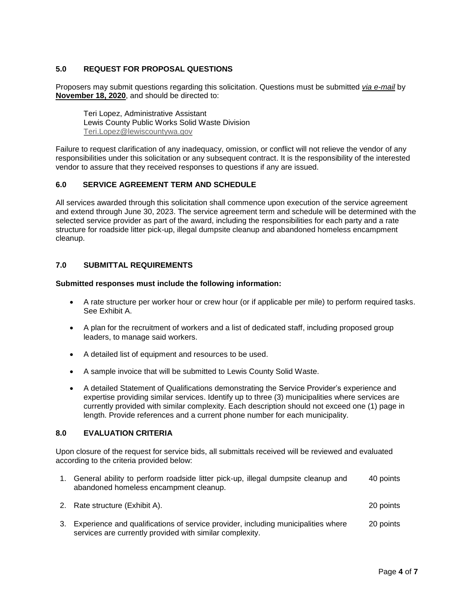#### **5.0 REQUEST FOR PROPOSAL QUESTIONS**

Proposers may submit questions regarding this solicitation. Questions must be submitted *via e-mail* by **November 18, 2020**, and should be directed to:

Teri Lopez, Administrative Assistant Lewis County Public Works Solid Waste Division [Teri.Lopez@lewiscountywa.gov](mailto:Teri.Lopez@lewiscountywa.gov)

Failure to request clarification of any inadequacy, omission, or conflict will not relieve the vendor of any responsibilities under this solicitation or any subsequent contract. It is the responsibility of the interested vendor to assure that they received responses to questions if any are issued.

#### **6.0 SERVICE AGREEMENT TERM AND SCHEDULE**

All services awarded through this solicitation shall commence upon execution of the service agreement and extend through June 30, 2023. The service agreement term and schedule will be determined with the selected service provider as part of the award, including the responsibilities for each party and a rate structure for roadside litter pick-up, illegal dumpsite cleanup and abandoned homeless encampment cleanup.

#### **7.0 SUBMITTAL REQUIREMENTS**

#### **Submitted responses must include the following information:**

- A rate structure per worker hour or crew hour (or if applicable per mile) to perform required tasks. See Exhibit A.
- A plan for the recruitment of workers and a list of dedicated staff, including proposed group leaders, to manage said workers.
- A detailed list of equipment and resources to be used.
- A sample invoice that will be submitted to Lewis County Solid Waste.
- A detailed Statement of Qualifications demonstrating the Service Provider's experience and expertise providing similar services. Identify up to three (3) municipalities where services are currently provided with similar complexity. Each description should not exceed one (1) page in length. Provide references and a current phone number for each municipality.

#### **8.0 EVALUATION CRITERIA**

Upon closure of the request for service bids, all submittals received will be reviewed and evaluated according to the criteria provided below:

| 1. General ability to perform roadside litter pick-up, illegal dumpsite cleanup and<br>abandoned homeless encampment cleanup. | 40 points |
|-------------------------------------------------------------------------------------------------------------------------------|-----------|
| 2. Rate structure (Exhibit A).                                                                                                | 20 points |

3. Experience and qualifications of service provider, including municipalities where services are currently provided with similar complexity. 20 points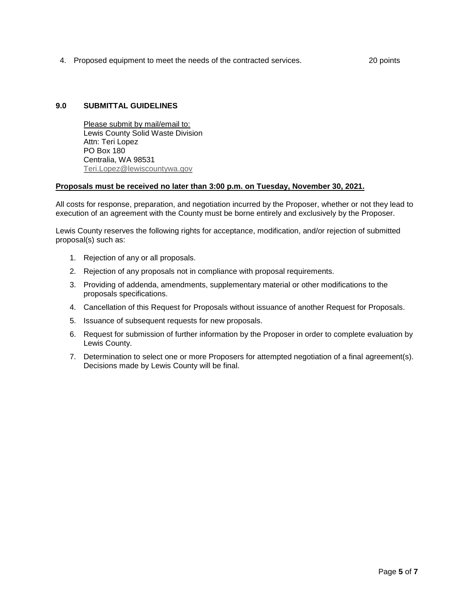4. Proposed equipment to meet the needs of the contracted services. 20 points

#### **9.0 SUBMITTAL GUIDELINES**

Please submit by mail/email to: Lewis County Solid Waste Division Attn: Teri Lopez PO Box 180 Centralia, WA 98531 [Teri.Lopez@lewiscountywa.gov](mailto:Teri.Lopez@lewiscountywa.gov)

#### **Proposals must be received no later than 3:00 p.m. on Tuesday, November 30, 2021.**

All costs for response, preparation, and negotiation incurred by the Proposer, whether or not they lead to execution of an agreement with the County must be borne entirely and exclusively by the Proposer.

Lewis County reserves the following rights for acceptance, modification, and/or rejection of submitted proposal(s) such as:

- 1. Rejection of any or all proposals.
- 2. Rejection of any proposals not in compliance with proposal requirements.
- 3. Providing of addenda, amendments, supplementary material or other modifications to the proposals specifications.
- 4. Cancellation of this Request for Proposals without issuance of another Request for Proposals.
- 5. Issuance of subsequent requests for new proposals.
- 6. Request for submission of further information by the Proposer in order to complete evaluation by Lewis County.
- 7. Determination to select one or more Proposers for attempted negotiation of a final agreement(s). Decisions made by Lewis County will be final.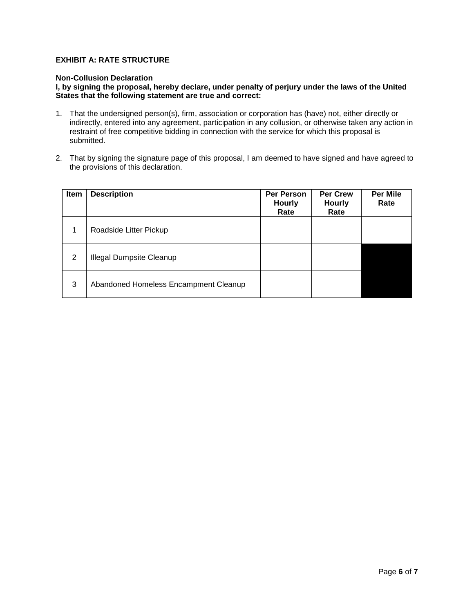#### **EXHIBIT A: RATE STRUCTURE**

#### **Non-Collusion Declaration**

**I, by signing the proposal, hereby declare, under penalty of perjury under the laws of the United States that the following statement are true and correct:**

- 1. That the undersigned person(s), firm, association or corporation has (have) not, either directly or indirectly, entered into any agreement, participation in any collusion, or otherwise taken any action in restraint of free competitive bidding in connection with the service for which this proposal is submitted.
- 2. That by signing the signature page of this proposal, I am deemed to have signed and have agreed to the provisions of this declaration.

| Item | <b>Description</b>                    | Per Person<br><b>Hourly</b><br>Rate | <b>Per Crew</b><br><b>Hourly</b><br>Rate | <b>Per Mile</b><br>Rate |
|------|---------------------------------------|-------------------------------------|------------------------------------------|-------------------------|
| 1    | Roadside Litter Pickup                |                                     |                                          |                         |
| 2    | <b>Illegal Dumpsite Cleanup</b>       |                                     |                                          |                         |
| 3    | Abandoned Homeless Encampment Cleanup |                                     |                                          |                         |